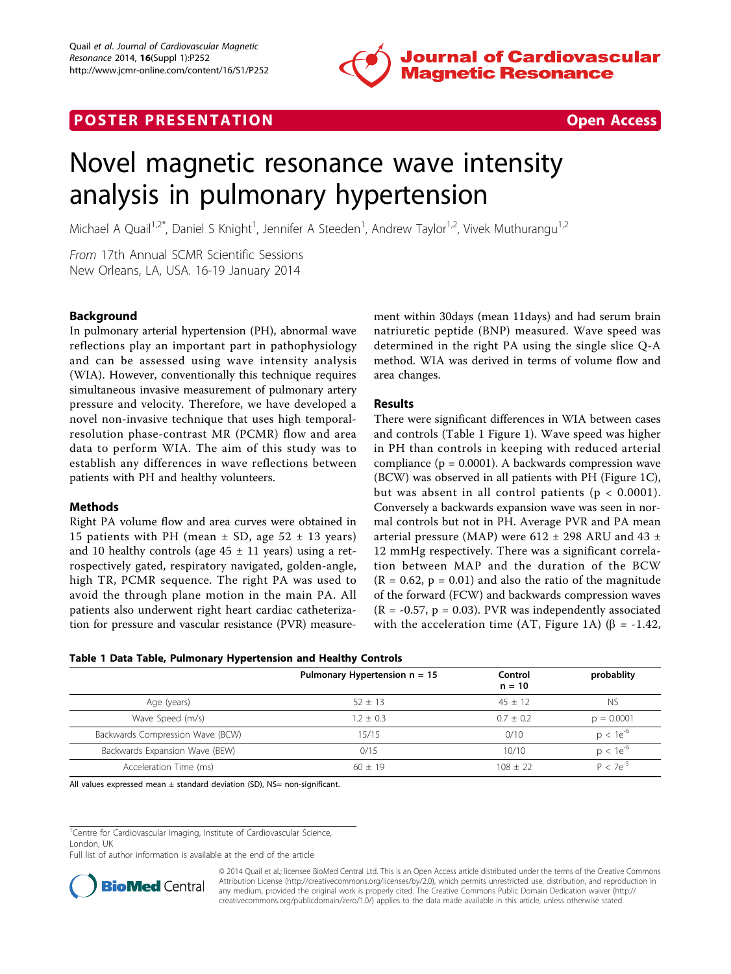

## **POSTER PRESENTATION CONSUMING THE SECOND CONSUMING THE SECOND CONSUMING THE SECOND CONSUMING THE SECOND CONSUMING THE SECOND CONSUMING THE SECOND CONSUMING THE SECOND CONSUMING THE SECOND CONSUMING THE SECOND CONSUMING**



# Novel magnetic resonance wave intensity analysis in pulmonary hypertension

Michael A Quail<sup>1,2\*</sup>, Daniel S Knight<sup>1</sup>, Jennifer A Steeden<sup>1</sup>, Andrew Taylor<sup>1,2</sup>, Vivek Muthurangu<sup>1,2</sup>

From 17th Annual SCMR Scientific Sessions New Orleans, LA, USA. 16-19 January 2014

### Background

In pulmonary arterial hypertension (PH), abnormal wave reflections play an important part in pathophysiology and can be assessed using wave intensity analysis (WIA). However, conventionally this technique requires simultaneous invasive measurement of pulmonary artery pressure and velocity. Therefore, we have developed a novel non-invasive technique that uses high temporalresolution phase-contrast MR (PCMR) flow and area data to perform WIA. The aim of this study was to establish any differences in wave reflections between patients with PH and healthy volunteers.

#### Methods

Right PA volume flow and area curves were obtained in 15 patients with PH (mean  $\pm$  SD, age 52  $\pm$  13 years) and 10 healthy controls (age  $45 \pm 11$  years) using a retrospectively gated, respiratory navigated, golden-angle, high TR, PCMR sequence. The right PA was used to avoid the through plane motion in the main PA. All patients also underwent right heart cardiac catheterization for pressure and vascular resistance (PVR) measurement within 30days (mean 11days) and had serum brain natriuretic peptide (BNP) measured. Wave speed was determined in the right PA using the single slice Q-A method. WIA was derived in terms of volume flow and area changes.

### Results

There were significant differences in WIA between cases and controls (Table 1 Figure [1](#page-1-0)). Wave speed was higher in PH than controls in keeping with reduced arterial compliance ( $p = 0.0001$ ). A backwards compression wave (BCW) was observed in all patients with PH (Figure [1C](#page-1-0)), but was absent in all control patients ( $p < 0.0001$ ). Conversely a backwards expansion wave was seen in normal controls but not in PH. Average PVR and PA mean arterial pressure (MAP) were 612  $\pm$  298 ARU and 43  $\pm$ 12 mmHg respectively. There was a significant correlation between MAP and the duration of the BCW  $(R = 0.62, p = 0.01)$  and also the ratio of the magnitude of the forward (FCW) and backwards compression waves  $(R = -0.57, p = 0.03)$ . PVR was independently associated with the acceleration time (AT, Figure [1A](#page-1-0)) ( $\beta$  = -1.42,

|  |  |  | Table 1 Data Table, Pulmonary Hypertension and Healthy Controls |  |  |
|--|--|--|-----------------------------------------------------------------|--|--|
|--|--|--|-----------------------------------------------------------------|--|--|

|                                  | Pulmonary Hypertension $n = 15$ | Control<br>$n = 10$ | probablity    |
|----------------------------------|---------------------------------|---------------------|---------------|
| Age (years)                      | $52 \pm 13$                     | $45 + 12$           | NS.           |
| Wave Speed (m/s)                 | $1.2 + 0.3$                     | $0.7 + 0.2$         | $p = 0.0001$  |
| Backwards Compression Wave (BCW) | 15/15                           | 0/10                | $p < 1e^{-6}$ |
| Backwards Expansion Wave (BEW)   | 0/15                            | 10/10               | $p < 1e^{-b}$ |
| Acceleration Time (ms)           | $60 + 19$                       | $108 + 22$          | $P < 7e^{-5}$ |

All values expressed mean  $\pm$  standard deviation (SD), NS= non-significant.

<sup>1</sup>Centre for Cardiovascular Imaging, Institute of Cardiovascular Science, London, UK

Full list of author information is available at the end of the article



© 2014 Quail et al.; licensee BioMed Central Ltd. This is an Open Access article distributed under the terms of the Creative Commons Attribution License [\(http://creativecommons.org/licenses/by/2.0](http://creativecommons.org/licenses/by/2.0)), which permits unrestricted use, distribution, and reproduction in any medium, provided the original work is properly cited. The Creative Commons Public Domain Dedication waiver [\(http://](http://creativecommons.org/publicdomain/zero/1.0/) [creativecommons.org/publicdomain/zero/1.0/](http://creativecommons.org/publicdomain/zero/1.0/)) applies to the data made available in this article, unless otherwise stated.